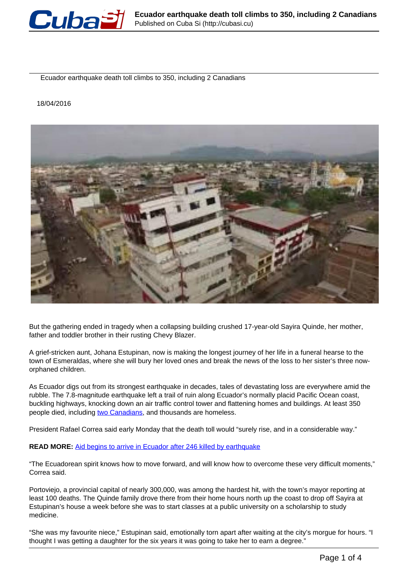

Ecuador earthquake death toll climbs to 350, including 2 Canadians

18/04/2016



But the gathering ended in tragedy when a collapsing building crushed 17-year-old Sayira Quinde, her mother, father and toddler brother in their rusting Chevy Blazer.

A grief-stricken aunt, Johana Estupinan, now is making the longest journey of her life in a funeral hearse to the town of Esmeraldas, where she will bury her loved ones and break the news of the loss to her sister's three noworphaned children.

As Ecuador digs out from its strongest earthquake in decades, tales of devastating loss are everywhere amid the rubble. The 7.8-magnitude earthquake left a trail of ruin along Ecuador's normally placid Pacific Ocean coast, buckling highways, knocking down an air traffic control tower and flattening homes and buildings. At least 350 people died, including [two Canadians](http://globalnews.ca/news/2644257/2-canadians-among-ecuador-earthquake-victims/), and thousands are homeless.

President Rafael Correa said early Monday that the death toll would "surely rise, and in a considerable way."

## **READ MORE:** Aid begins to arrive in Ecuador after 246 killed by earthquake

"The Ecuadorean spirit knows how to move forward, and will know how to overcome these very difficult moments," Correa said.

Portoviejo, a provincial capital of nearly 300,000, was among the hardest hit, with the town's mayor reporting at least 100 deaths. The Quinde family drove there from their home hours north up the coast to drop off Sayira at Estupinan's house a week before she was to start classes at a public university on a scholarship to study medicine.

"She was my favourite niece," Estupinan said, emotionally torn apart after waiting at the city's morgue for hours. "I thought I was getting a daughter for the six years it was going to take her to earn a degree."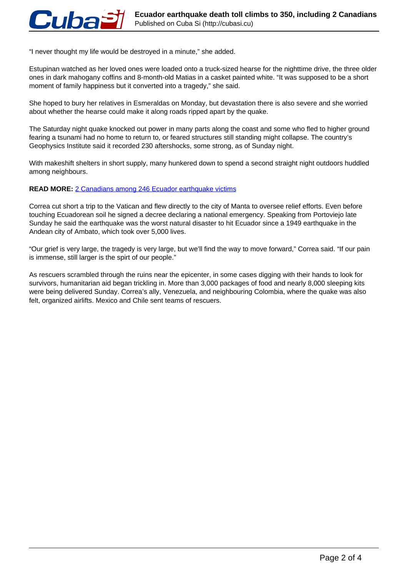"I never thought my life would be destroyed in a minute," she added.

Estupinan watched as her loved ones were loaded onto a truck-sized hearse for the nighttime drive, the three older ones in dark mahogany coffins and 8-month-old Matias in a casket painted white. "It was supposed to be a short moment of family happiness but it converted into a tragedy," she said.

She hoped to bury her relatives in Esmeraldas on Monday, but devastation there is also severe and she worried about whether the hearse could make it along roads ripped apart by the quake.

The Saturday night quake knocked out power in many parts along the coast and some who fled to higher ground fearing a tsunami had no home to return to, or feared structures still standing might collapse. The country's Geophysics Institute said it recorded 230 aftershocks, some strong, as of Sunday night.

With makeshift shelters in short supply, many hunkered down to spend a second straight night outdoors huddled among neighbours.

## **READ MORE: 2 Canadians among 246 Ecuador earthquake victims**

Correa cut short a trip to the Vatican and flew directly to the city of Manta to oversee relief efforts. Even before touching Ecuadorean soil he signed a decree declaring a national emergency. Speaking from Portoviejo late Sunday he said the earthquake was the worst natural disaster to hit Ecuador since a 1949 earthquake in the Andean city of Ambato, which took over 5,000 lives.

"Our grief is very large, the tragedy is very large, but we'll find the way to move forward," Correa said. "If our pain is immense, still larger is the spirt of our people."

As rescuers scrambled through the ruins near the epicenter, in some cases digging with their hands to look for survivors, humanitarian aid began trickling in. More than 3,000 packages of food and nearly 8,000 sleeping kits were being delivered Sunday. Correa's ally, Venezuela, and neighbouring Colombia, where the quake was also felt, organized airlifts. Mexico and Chile sent teams of rescuers.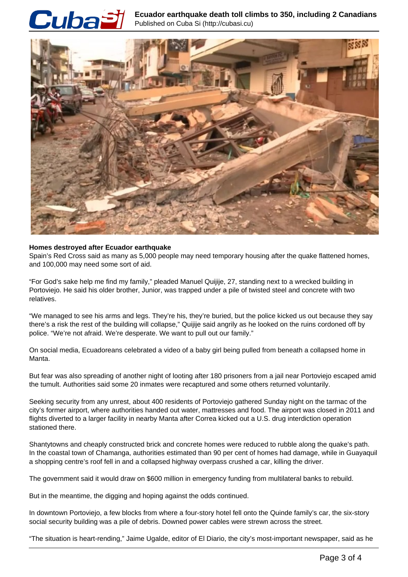

**Ecuador earthquake death toll climbs to 350, including 2 Canadians** Published on Cuba Si (http://cubasi.cu)



## **Homes destroyed after Ecuador earthquake**

Spain's Red Cross said as many as 5,000 people may need temporary housing after the quake flattened homes, and 100,000 may need some sort of aid.

"For God's sake help me find my family," pleaded Manuel Quijije, 27, standing next to a wrecked building in Portoviejo. He said his older brother, Junior, was trapped under a pile of twisted steel and concrete with two relatives.

"We managed to see his arms and legs. They're his, they're buried, but the police kicked us out because they say there's a risk the rest of the building will collapse," Quijije said angrily as he looked on the ruins cordoned off by police. "We're not afraid. We're desperate. We want to pull out our family."

On social media, Ecuadoreans celebrated a video of a baby girl being pulled from beneath a collapsed home in Manta.

But fear was also spreading of another night of looting after 180 prisoners from a jail near Portoviejo escaped amid the tumult. Authorities said some 20 inmates were recaptured and some others returned voluntarily.

Seeking security from any unrest, about 400 residents of Portoviejo gathered Sunday night on the tarmac of the city's former airport, where authorities handed out water, mattresses and food. The airport was closed in 2011 and flights diverted to a larger facility in nearby Manta after Correa kicked out a U.S. drug interdiction operation stationed there.

Shantytowns and cheaply constructed brick and concrete homes were reduced to rubble along the quake's path. In the coastal town of Chamanga, authorities estimated than 90 per cent of homes had damage, while in Guayaquil a shopping centre's roof fell in and a collapsed highway overpass crushed a car, killing the driver.

The government said it would draw on \$600 million in emergency funding from multilateral banks to rebuild.

But in the meantime, the digging and hoping against the odds continued.

In downtown Portoviejo, a few blocks from where a four-story hotel fell onto the Quinde family's car, the six-story social security building was a pile of debris. Downed power cables were strewn across the street.

"The situation is heart-rending," Jaime Ugalde, editor of El Diario, the city's most-important newspaper, said as he